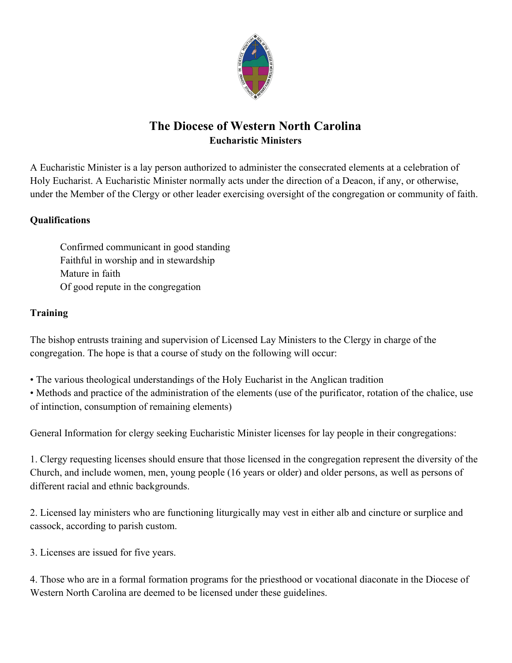

# **The Diocese of Western North Carolina Eucharistic Ministers**

A Eucharistic Minister is a lay person authorized to administer the consecrated elements at a celebration of Holy Eucharist. A Eucharistic Minister normally acts under the direction of a Deacon, if any, or otherwise, under the Member of the Clergy or other leader exercising oversight of the congregation or community of faith.

### **Qualifications**

Confirmed communicant in good standing Faithful in worship and in stewardship Mature in faith Of good repute in the congregation

## **Training**

The bishop entrusts training and supervision of Licensed Lay Ministers to the Clergy in charge of the congregation. The hope is that a course of study on the following will occur:

• The various theological understandings of the Holy Eucharist in the Anglican tradition

• Methods and practice of the administration of the elements (use of the purificator, rotation of the chalice, use of intinction, consumption of remaining elements)

General Information for clergy seeking Eucharistic Minister licenses for lay people in their congregations:

1. Clergy requesting licenses should ensure that those licensed in the congregation represent the diversity of the Church, and include women, men, young people (16 years or older) and older persons, as well as persons of different racial and ethnic backgrounds.

2. Licensed lay ministers who are functioning liturgically may vest in either alb and cincture or surplice and cassock, according to parish custom.

3. Licenses are issued for five years.

4. Those who are in a formal formation programs for the priesthood or vocational diaconate in the Diocese of Western North Carolina are deemed to be licensed under these guidelines.